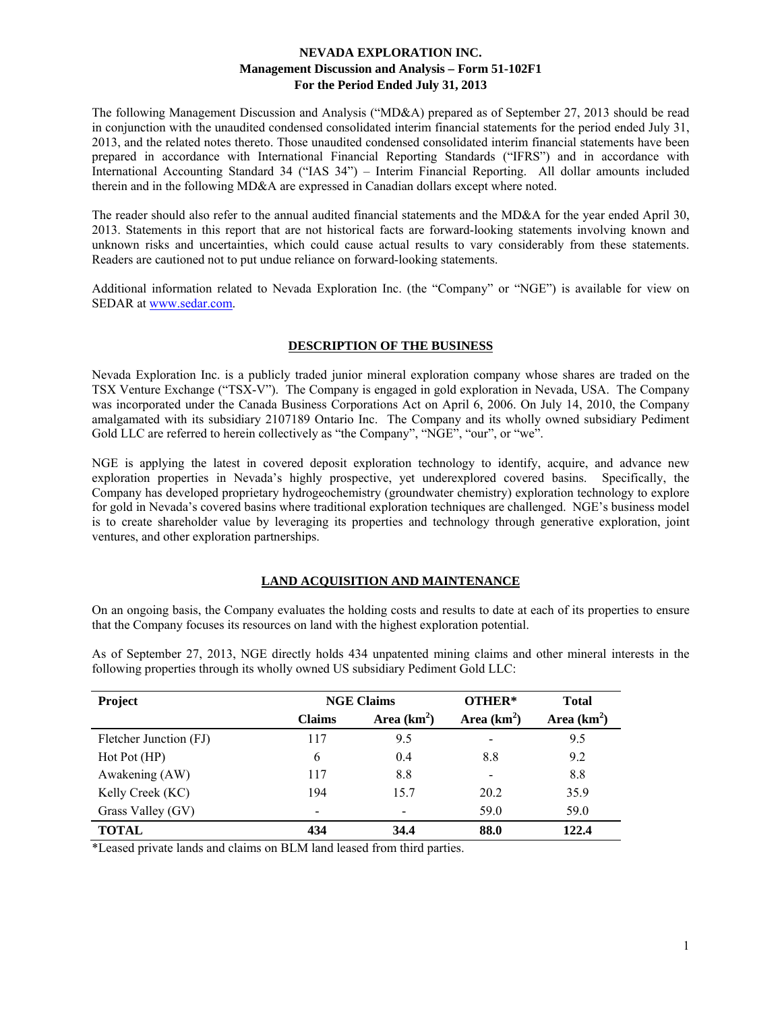The following Management Discussion and Analysis ("MD&A) prepared as of September 27, 2013 should be read in conjunction with the unaudited condensed consolidated interim financial statements for the period ended July 31, 2013, and the related notes thereto. Those unaudited condensed consolidated interim financial statements have been prepared in accordance with International Financial Reporting Standards ("IFRS") and in accordance with International Accounting Standard 34 ("IAS 34") – Interim Financial Reporting. All dollar amounts included therein and in the following MD&A are expressed in Canadian dollars except where noted.

The reader should also refer to the annual audited financial statements and the MD&A for the year ended April 30, 2013. Statements in this report that are not historical facts are forward-looking statements involving known and unknown risks and uncertainties, which could cause actual results to vary considerably from these statements. Readers are cautioned not to put undue reliance on forward-looking statements.

Additional information related to Nevada Exploration Inc. (the "Company" or "NGE") is available for view on SEDAR at www.sedar.com.

### **DESCRIPTION OF THE BUSINESS**

Nevada Exploration Inc. is a publicly traded junior mineral exploration company whose shares are traded on the TSX Venture Exchange ("TSX-V"). The Company is engaged in gold exploration in Nevada, USA. The Company was incorporated under the Canada Business Corporations Act on April 6, 2006. On July 14, 2010, the Company amalgamated with its subsidiary 2107189 Ontario Inc. The Company and its wholly owned subsidiary Pediment Gold LLC are referred to herein collectively as "the Company", "NGE", "our", or "we".

NGE is applying the latest in covered deposit exploration technology to identify, acquire, and advance new exploration properties in Nevada's highly prospective, yet underexplored covered basins. Specifically, the Company has developed proprietary hydrogeochemistry (groundwater chemistry) exploration technology to explore for gold in Nevada's covered basins where traditional exploration techniques are challenged. NGE's business model is to create shareholder value by leveraging its properties and technology through generative exploration, joint ventures, and other exploration partnerships.

### **LAND ACQUISITION AND MAINTENANCE**

On an ongoing basis, the Company evaluates the holding costs and results to date at each of its properties to ensure that the Company focuses its resources on land with the highest exploration potential.

| Project                | <b>NGE Claims</b> |               | OTHER* | <b>Total</b>  |  |
|------------------------|-------------------|---------------|--------|---------------|--|
|                        | <b>Claims</b>     | Area $(km^2)$ |        | Area $(km^2)$ |  |
| Fletcher Junction (FJ) | 117               | 9.5           |        | 9.5           |  |
| Hot Pot (HP)           | 6                 | 0.4           | 8.8    | 9.2           |  |
| Awakening (AW)         | 117               | 8.8           |        | 8.8           |  |
| Kelly Creek (KC)       | 194               | 15.7          | 20.2   | 35.9          |  |
| Grass Valley (GV)      |                   |               | 59.0   | 59.0          |  |
| <b>TOTAL</b>           | 434               | 34.4          | 88.0   | 122.4         |  |

As of September 27, 2013, NGE directly holds 434 unpatented mining claims and other mineral interests in the following properties through its wholly owned US subsidiary Pediment Gold LLC:

\*Leased private lands and claims on BLM land leased from third parties.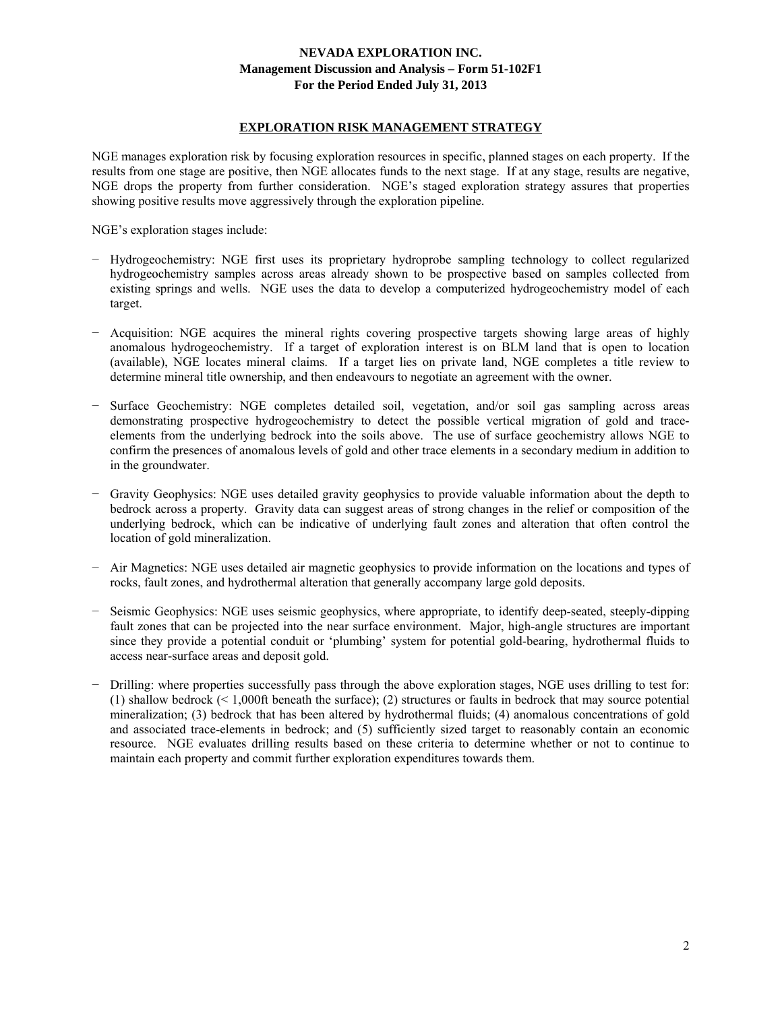### **EXPLORATION RISK MANAGEMENT STRATEGY**

NGE manages exploration risk by focusing exploration resources in specific, planned stages on each property. If the results from one stage are positive, then NGE allocates funds to the next stage. If at any stage, results are negative, NGE drops the property from further consideration. NGE's staged exploration strategy assures that properties showing positive results move aggressively through the exploration pipeline.

NGE's exploration stages include:

- − Hydrogeochemistry: NGE first uses its proprietary hydroprobe sampling technology to collect regularized hydrogeochemistry samples across areas already shown to be prospective based on samples collected from existing springs and wells. NGE uses the data to develop a computerized hydrogeochemistry model of each target.
- − Acquisition: NGE acquires the mineral rights covering prospective targets showing large areas of highly anomalous hydrogeochemistry. If a target of exploration interest is on BLM land that is open to location (available), NGE locates mineral claims. If a target lies on private land, NGE completes a title review to determine mineral title ownership, and then endeavours to negotiate an agreement with the owner.
- − Surface Geochemistry: NGE completes detailed soil, vegetation, and/or soil gas sampling across areas demonstrating prospective hydrogeochemistry to detect the possible vertical migration of gold and traceelements from the underlying bedrock into the soils above. The use of surface geochemistry allows NGE to confirm the presences of anomalous levels of gold and other trace elements in a secondary medium in addition to in the groundwater.
- − Gravity Geophysics: NGE uses detailed gravity geophysics to provide valuable information about the depth to bedrock across a property. Gravity data can suggest areas of strong changes in the relief or composition of the underlying bedrock, which can be indicative of underlying fault zones and alteration that often control the location of gold mineralization.
- − Air Magnetics: NGE uses detailed air magnetic geophysics to provide information on the locations and types of rocks, fault zones, and hydrothermal alteration that generally accompany large gold deposits.
- − Seismic Geophysics: NGE uses seismic geophysics, where appropriate, to identify deep-seated, steeply-dipping fault zones that can be projected into the near surface environment. Major, high-angle structures are important since they provide a potential conduit or 'plumbing' system for potential gold-bearing, hydrothermal fluids to access near-surface areas and deposit gold.
- − Drilling: where properties successfully pass through the above exploration stages, NGE uses drilling to test for: (1) shallow bedrock (< 1,000ft beneath the surface); (2) structures or faults in bedrock that may source potential mineralization; (3) bedrock that has been altered by hydrothermal fluids; (4) anomalous concentrations of gold and associated trace-elements in bedrock; and (5) sufficiently sized target to reasonably contain an economic resource. NGE evaluates drilling results based on these criteria to determine whether or not to continue to maintain each property and commit further exploration expenditures towards them.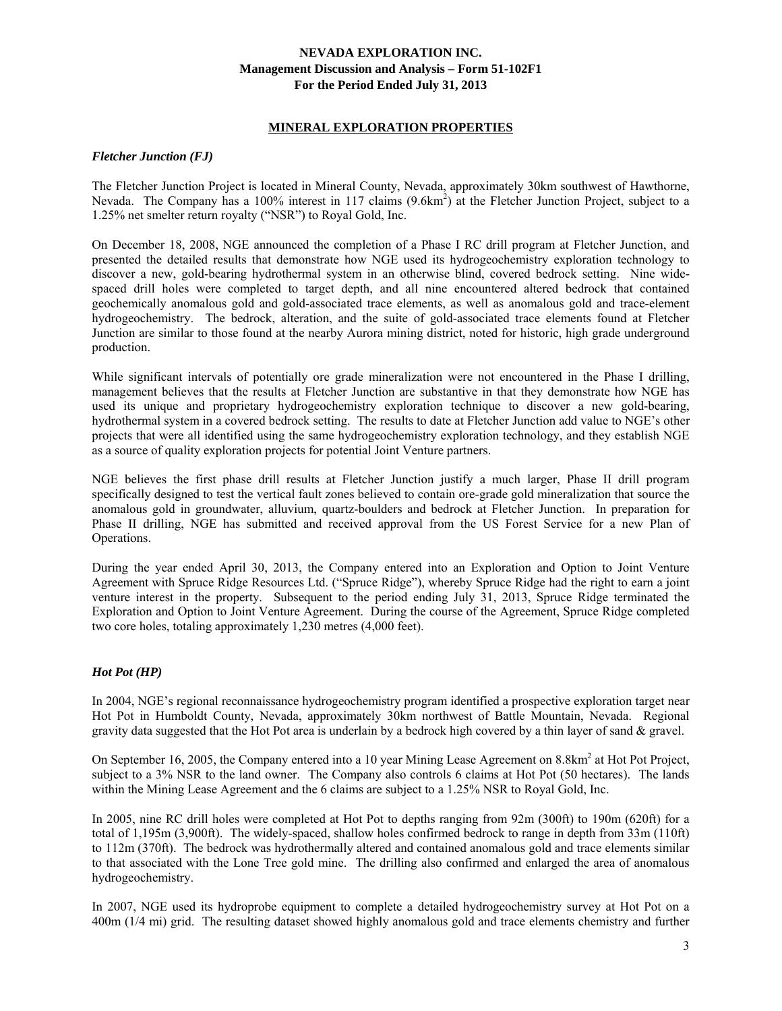### **MINERAL EXPLORATION PROPERTIES**

### *Fletcher Junction (FJ)*

The Fletcher Junction Project is located in Mineral County, Nevada, approximately 30km southwest of Hawthorne, Nevada. The Company has a 100% interest in 117 claims (9.6km<sup>2</sup>) at the Fletcher Junction Project, subject to a 1.25% net smelter return royalty ("NSR") to Royal Gold, Inc.

On December 18, 2008, NGE announced the completion of a Phase I RC drill program at Fletcher Junction, and presented the detailed results that demonstrate how NGE used its hydrogeochemistry exploration technology to discover a new, gold-bearing hydrothermal system in an otherwise blind, covered bedrock setting. Nine widespaced drill holes were completed to target depth, and all nine encountered altered bedrock that contained geochemically anomalous gold and gold-associated trace elements, as well as anomalous gold and trace-element hydrogeochemistry. The bedrock, alteration, and the suite of gold-associated trace elements found at Fletcher Junction are similar to those found at the nearby Aurora mining district, noted for historic, high grade underground production.

While significant intervals of potentially ore grade mineralization were not encountered in the Phase I drilling, management believes that the results at Fletcher Junction are substantive in that they demonstrate how NGE has used its unique and proprietary hydrogeochemistry exploration technique to discover a new gold-bearing, hydrothermal system in a covered bedrock setting. The results to date at Fletcher Junction add value to NGE's other projects that were all identified using the same hydrogeochemistry exploration technology, and they establish NGE as a source of quality exploration projects for potential Joint Venture partners.

NGE believes the first phase drill results at Fletcher Junction justify a much larger, Phase II drill program specifically designed to test the vertical fault zones believed to contain ore-grade gold mineralization that source the anomalous gold in groundwater, alluvium, quartz-boulders and bedrock at Fletcher Junction. In preparation for Phase II drilling, NGE has submitted and received approval from the US Forest Service for a new Plan of Operations.

During the year ended April 30, 2013, the Company entered into an Exploration and Option to Joint Venture Agreement with Spruce Ridge Resources Ltd. ("Spruce Ridge"), whereby Spruce Ridge had the right to earn a joint venture interest in the property. Subsequent to the period ending July 31, 2013, Spruce Ridge terminated the Exploration and Option to Joint Venture Agreement. During the course of the Agreement, Spruce Ridge completed two core holes, totaling approximately 1,230 metres (4,000 feet).

### *Hot Pot (HP)*

In 2004, NGE's regional reconnaissance hydrogeochemistry program identified a prospective exploration target near Hot Pot in Humboldt County, Nevada, approximately 30km northwest of Battle Mountain, Nevada. Regional gravity data suggested that the Hot Pot area is underlain by a bedrock high covered by a thin layer of sand & gravel.

On September 16, 2005, the Company entered into a 10 year Mining Lease Agreement on 8.8km<sup>2</sup> at Hot Pot Project, subject to a 3% NSR to the land owner. The Company also controls 6 claims at Hot Pot (50 hectares). The lands within the Mining Lease Agreement and the 6 claims are subject to a 1.25% NSR to Royal Gold, Inc.

In 2005, nine RC drill holes were completed at Hot Pot to depths ranging from 92m (300ft) to 190m (620ft) for a total of 1,195m (3,900ft). The widely-spaced, shallow holes confirmed bedrock to range in depth from 33m (110ft) to 112m (370ft). The bedrock was hydrothermally altered and contained anomalous gold and trace elements similar to that associated with the Lone Tree gold mine. The drilling also confirmed and enlarged the area of anomalous hydrogeochemistry.

In 2007, NGE used its hydroprobe equipment to complete a detailed hydrogeochemistry survey at Hot Pot on a 400m (1/4 mi) grid. The resulting dataset showed highly anomalous gold and trace elements chemistry and further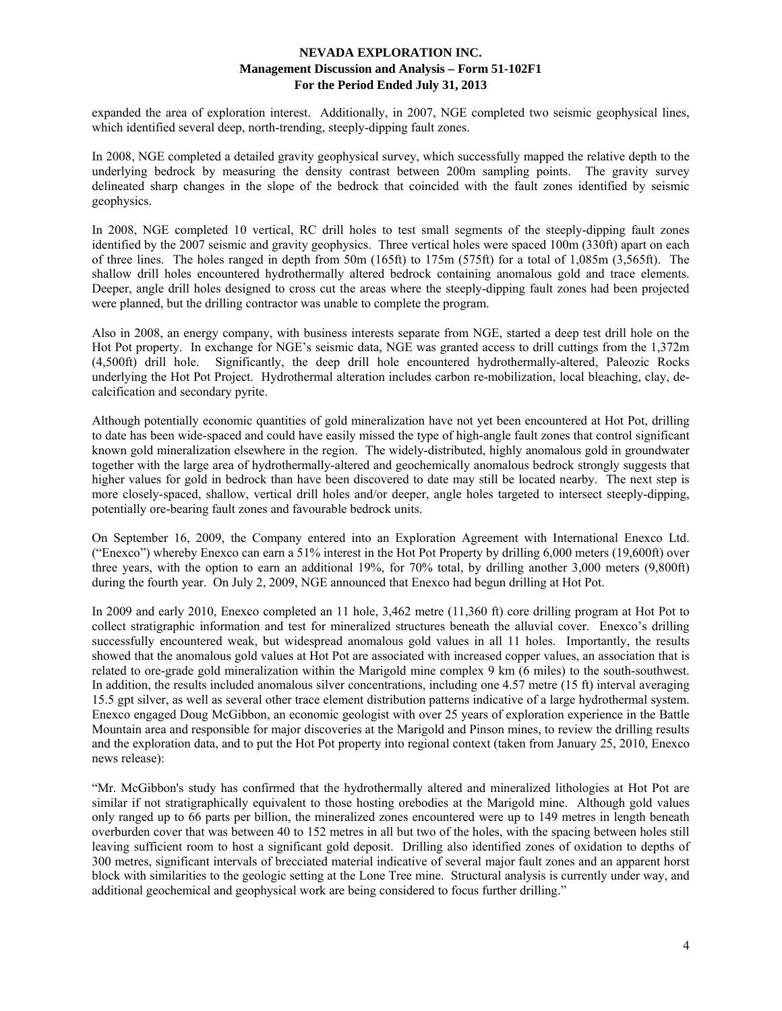expanded the area of exploration interest. Additionally, in 2007, NGE completed two seismic geophysical lines, which identified several deep, north-trending, steeply-dipping fault zones.

In 2008, NGE completed a detailed gravity geophysical survey, which successfully mapped the relative depth to the underlying bedrock by measuring the density contrast between 200m sampling points. The gravity survey delineated sharp changes in the slope of the bedrock that coincided with the fault zones identified by seismic geophysics.

In 2008, NGE completed 10 vertical, RC drill holes to test small segments of the steeply-dipping fault zones identified by the 2007 seismic and gravity geophysics. Three vertical holes were spaced 100m (330ft) apart on each of three lines. The holes ranged in depth from 50m (165ft) to 175m (575ft) for a total of 1,085m (3,565ft). The shallow drill holes encountered hydrothermally altered bedrock containing anomalous gold and trace elements. Deeper, angle drill holes designed to cross cut the areas where the steeply-dipping fault zones had been projected were planned, but the drilling contractor was unable to complete the program.

Also in 2008, an energy company, with business interests separate from NGE, started a deep test drill hole on the Hot Pot property. In exchange for NGE's seismic data, NGE was granted access to drill cuttings from the 1,372m (4,500ft) drill hole. Significantly, the deep drill hole encountered hydrothermally-altered, Paleozic Rocks underlying the Hot Pot Project. Hydrothermal alteration includes carbon re-mobilization, local bleaching, clay, decalcification and secondary pyrite.

Although potentially economic quantities of gold mineralization have not yet been encountered at Hot Pot, drilling to date has been wide-spaced and could have easily missed the type of high-angle fault zones that control significant known gold mineralization elsewhere in the region. The widely-distributed, highly anomalous gold in groundwater together with the large area of hydrothermally-altered and geochemically anomalous bedrock strongly suggests that higher values for gold in bedrock than have been discovered to date may still be located nearby. The next step is more closely-spaced, shallow, vertical drill holes and/or deeper, angle holes targeted to intersect steeply-dipping, potentially ore-bearing fault zones and favourable bedrock units.

On September 16, 2009, the Company entered into an Exploration Agreement with International Enexco Ltd. ("Enexco") whereby Enexco can earn a 51% interest in the Hot Pot Property by drilling 6,000 meters (19,600ft) over three years, with the option to earn an additional 19%, for 70% total, by drilling another 3,000 meters (9,800ft) during the fourth year. On July 2, 2009, NGE announced that Enexco had begun drilling at Hot Pot.

In 2009 and early 2010, Enexco completed an 11 hole, 3,462 metre (11,360 ft) core drilling program at Hot Pot to collect stratigraphic information and test for mineralized structures beneath the alluvial cover. Enexco's drilling successfully encountered weak, but widespread anomalous gold values in all 11 holes. Importantly, the results showed that the anomalous gold values at Hot Pot are associated with increased copper values, an association that is related to ore-grade gold mineralization within the Marigold mine complex 9 km (6 miles) to the south-southwest. In addition, the results included anomalous silver concentrations, including one 4.57 metre (15 ft) interval averaging 15.5 gpt silver, as well as several other trace element distribution patterns indicative of a large hydrothermal system. Enexco engaged Doug McGibbon, an economic geologist with over 25 years of exploration experience in the Battle Mountain area and responsible for major discoveries at the Marigold and Pinson mines, to review the drilling results and the exploration data, and to put the Hot Pot property into regional context (taken from January 25, 2010, Enexco news release):

"Mr. McGibbon's study has confirmed that the hydrothermally altered and mineralized lithologies at Hot Pot are similar if not stratigraphically equivalent to those hosting orebodies at the Marigold mine. Although gold values only ranged up to 66 parts per billion, the mineralized zones encountered were up to 149 metres in length beneath overburden cover that was between 40 to 152 metres in all but two of the holes, with the spacing between holes still leaving sufficient room to host a significant gold deposit. Drilling also identified zones of oxidation to depths of 300 metres, significant intervals of brecciated material indicative of several major fault zones and an apparent horst block with similarities to the geologic setting at the Lone Tree mine. Structural analysis is currently under way, and additional geochemical and geophysical work are being considered to focus further drilling."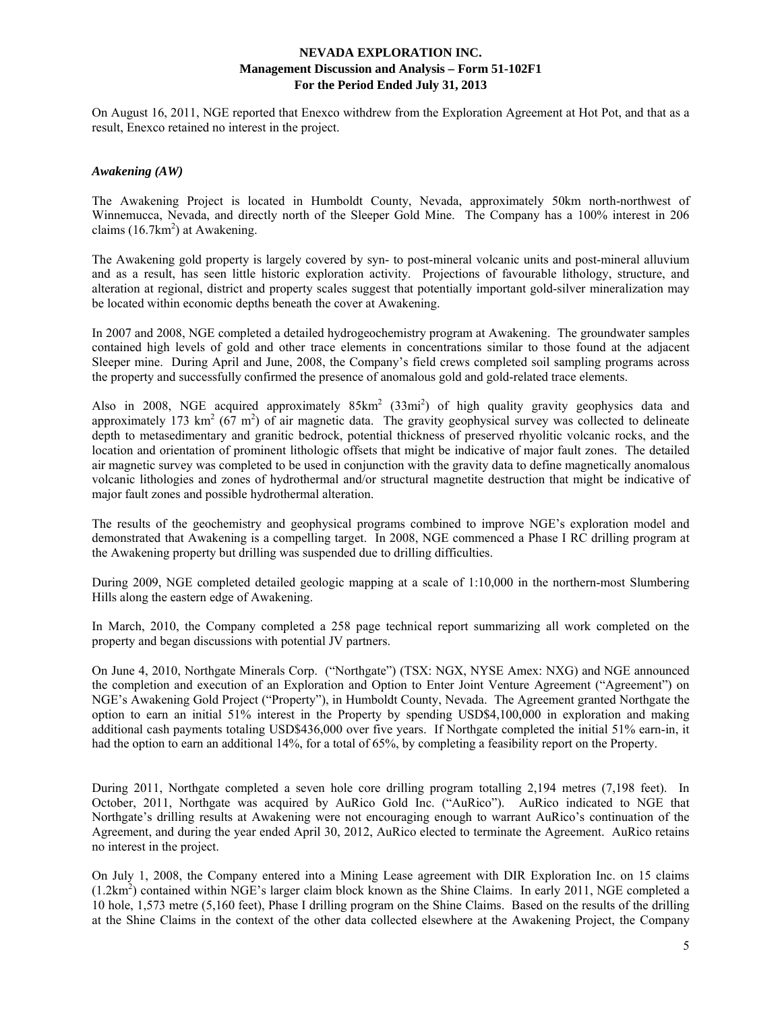On August 16, 2011, NGE reported that Enexco withdrew from the Exploration Agreement at Hot Pot, and that as a result, Enexco retained no interest in the project.

### *Awakening (AW)*

The Awakening Project is located in Humboldt County, Nevada, approximately 50km north-northwest of Winnemucca, Nevada, and directly north of the Sleeper Gold Mine. The Company has a 100% interest in 206 claims  $(16.7 \text{km}^2)$  at Awakening.

The Awakening gold property is largely covered by syn- to post-mineral volcanic units and post-mineral alluvium and as a result, has seen little historic exploration activity. Projections of favourable lithology, structure, and alteration at regional, district and property scales suggest that potentially important gold-silver mineralization may be located within economic depths beneath the cover at Awakening.

In 2007 and 2008, NGE completed a detailed hydrogeochemistry program at Awakening. The groundwater samples contained high levels of gold and other trace elements in concentrations similar to those found at the adjacent Sleeper mine. During April and June, 2008, the Company's field crews completed soil sampling programs across the property and successfully confirmed the presence of anomalous gold and gold-related trace elements.

Also in 2008, NGE acquired approximately  $85 \text{km}^2$  ( $33 \text{mi}^2$ ) of high quality gravity geophysics data and approximately 173 km<sup>2</sup> (67 m<sup>2</sup>) of air magnetic data. The gravity geophysical survey was collected to delineate depth to metasedimentary and granitic bedrock, potential thickness of preserved rhyolitic volcanic rocks, and the location and orientation of prominent lithologic offsets that might be indicative of major fault zones. The detailed air magnetic survey was completed to be used in conjunction with the gravity data to define magnetically anomalous volcanic lithologies and zones of hydrothermal and/or structural magnetite destruction that might be indicative of major fault zones and possible hydrothermal alteration.

The results of the geochemistry and geophysical programs combined to improve NGE's exploration model and demonstrated that Awakening is a compelling target. In 2008, NGE commenced a Phase I RC drilling program at the Awakening property but drilling was suspended due to drilling difficulties.

During 2009, NGE completed detailed geologic mapping at a scale of 1:10,000 in the northern-most Slumbering Hills along the eastern edge of Awakening.

In March, 2010, the Company completed a 258 page technical report summarizing all work completed on the property and began discussions with potential JV partners.

On June 4, 2010, Northgate Minerals Corp. ("Northgate") (TSX: NGX, NYSE Amex: NXG) and NGE announced the completion and execution of an Exploration and Option to Enter Joint Venture Agreement ("Agreement") on NGE's Awakening Gold Project ("Property"), in Humboldt County, Nevada. The Agreement granted Northgate the option to earn an initial 51% interest in the Property by spending USD\$4,100,000 in exploration and making additional cash payments totaling USD\$436,000 over five years. If Northgate completed the initial 51% earn-in, it had the option to earn an additional 14%, for a total of 65%, by completing a feasibility report on the Property.

During 2011, Northgate completed a seven hole core drilling program totalling 2,194 metres (7,198 feet). In October, 2011, Northgate was acquired by AuRico Gold Inc. ("AuRico"). AuRico indicated to NGE that Northgate's drilling results at Awakening were not encouraging enough to warrant AuRico's continuation of the Agreement, and during the year ended April 30, 2012, AuRico elected to terminate the Agreement. AuRico retains no interest in the project.

On July 1, 2008, the Company entered into a Mining Lease agreement with DIR Exploration Inc. on 15 claims (1.2km<sup>2</sup>) contained within NGE's larger claim block known as the Shine Claims. In early 2011, NGE completed a 10 hole, 1,573 metre (5,160 feet), Phase I drilling program on the Shine Claims. Based on the results of the drilling at the Shine Claims in the context of the other data collected elsewhere at the Awakening Project, the Company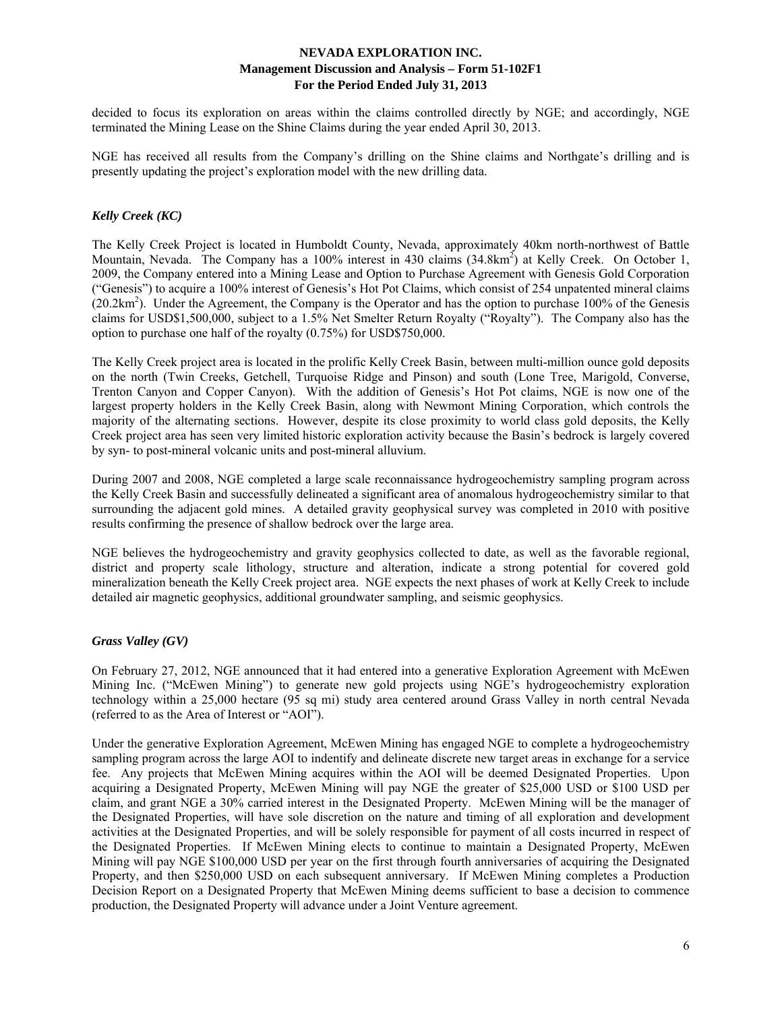decided to focus its exploration on areas within the claims controlled directly by NGE; and accordingly, NGE terminated the Mining Lease on the Shine Claims during the year ended April 30, 2013.

NGE has received all results from the Company's drilling on the Shine claims and Northgate's drilling and is presently updating the project's exploration model with the new drilling data.

### *Kelly Creek (KC)*

The Kelly Creek Project is located in Humboldt County, Nevada, approximately 40km north-northwest of Battle Mountain, Nevada. The Company has a 100% interest in 430 claims (34.8km<sup>2</sup>) at Kelly Creek. On October 1, 2009, the Company entered into a Mining Lease and Option to Purchase Agreement with Genesis Gold Corporation ("Genesis") to acquire a 100% interest of Genesis's Hot Pot Claims, which consist of 254 unpatented mineral claims  $(20.2 \text{km}^2)$ . Under the Agreement, the Company is the Operator and has the option to purchase 100% of the Genesis claims for USD\$1,500,000, subject to a 1.5% Net Smelter Return Royalty ("Royalty"). The Company also has the option to purchase one half of the royalty (0.75%) for USD\$750,000.

The Kelly Creek project area is located in the prolific Kelly Creek Basin, between multi-million ounce gold deposits on the north (Twin Creeks, Getchell, Turquoise Ridge and Pinson) and south (Lone Tree, Marigold, Converse, Trenton Canyon and Copper Canyon). With the addition of Genesis's Hot Pot claims, NGE is now one of the largest property holders in the Kelly Creek Basin, along with Newmont Mining Corporation, which controls the majority of the alternating sections. However, despite its close proximity to world class gold deposits, the Kelly Creek project area has seen very limited historic exploration activity because the Basin's bedrock is largely covered by syn- to post-mineral volcanic units and post-mineral alluvium.

During 2007 and 2008, NGE completed a large scale reconnaissance hydrogeochemistry sampling program across the Kelly Creek Basin and successfully delineated a significant area of anomalous hydrogeochemistry similar to that surrounding the adjacent gold mines. A detailed gravity geophysical survey was completed in 2010 with positive results confirming the presence of shallow bedrock over the large area.

NGE believes the hydrogeochemistry and gravity geophysics collected to date, as well as the favorable regional, district and property scale lithology, structure and alteration, indicate a strong potential for covered gold mineralization beneath the Kelly Creek project area. NGE expects the next phases of work at Kelly Creek to include detailed air magnetic geophysics, additional groundwater sampling, and seismic geophysics.

### *Grass Valley (GV)*

On February 27, 2012, NGE announced that it had entered into a generative Exploration Agreement with McEwen Mining Inc. ("McEwen Mining") to generate new gold projects using NGE's hydrogeochemistry exploration technology within a 25,000 hectare (95 sq mi) study area centered around Grass Valley in north central Nevada (referred to as the Area of Interest or "AOI").

Under the generative Exploration Agreement, McEwen Mining has engaged NGE to complete a hydrogeochemistry sampling program across the large AOI to indentify and delineate discrete new target areas in exchange for a service fee. Any projects that McEwen Mining acquires within the AOI will be deemed Designated Properties. Upon acquiring a Designated Property, McEwen Mining will pay NGE the greater of \$25,000 USD or \$100 USD per claim, and grant NGE a 30% carried interest in the Designated Property. McEwen Mining will be the manager of the Designated Properties, will have sole discretion on the nature and timing of all exploration and development activities at the Designated Properties, and will be solely responsible for payment of all costs incurred in respect of the Designated Properties. If McEwen Mining elects to continue to maintain a Designated Property, McEwen Mining will pay NGE \$100,000 USD per year on the first through fourth anniversaries of acquiring the Designated Property, and then \$250,000 USD on each subsequent anniversary. If McEwen Mining completes a Production Decision Report on a Designated Property that McEwen Mining deems sufficient to base a decision to commence production, the Designated Property will advance under a Joint Venture agreement.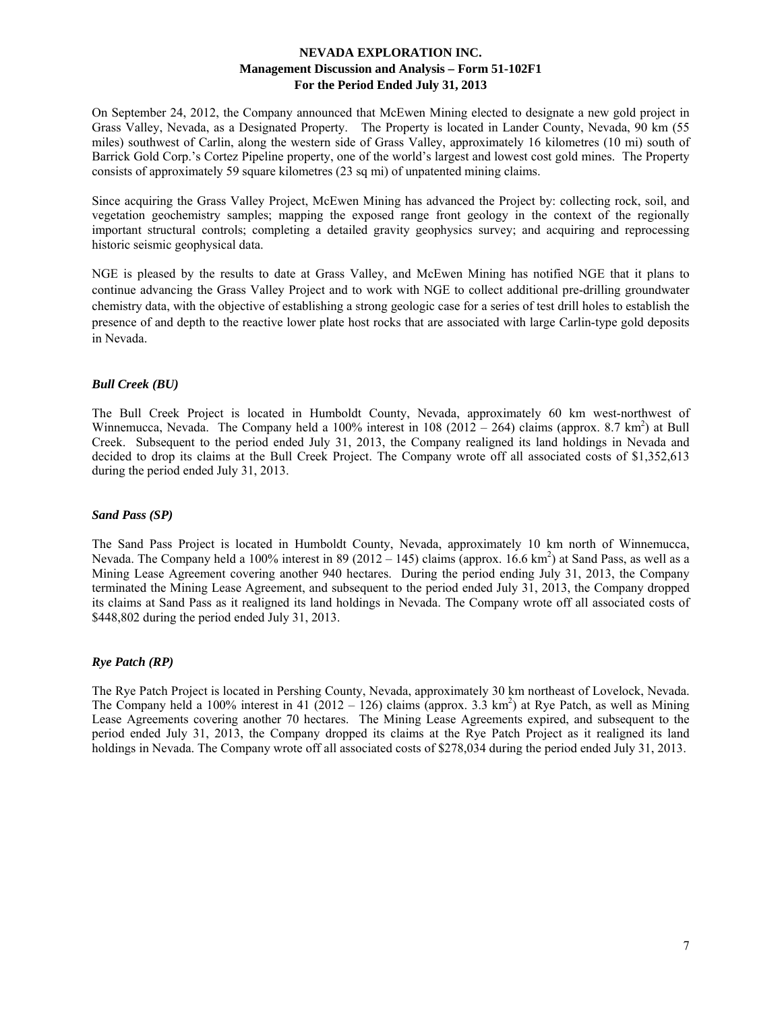On September 24, 2012, the Company announced that McEwen Mining elected to designate a new gold project in Grass Valley, Nevada, as a Designated Property. The Property is located in Lander County, Nevada, 90 km (55 miles) southwest of Carlin, along the western side of Grass Valley, approximately 16 kilometres (10 mi) south of Barrick Gold Corp.'s Cortez Pipeline property, one of the world's largest and lowest cost gold mines. The Property consists of approximately 59 square kilometres (23 sq mi) of unpatented mining claims.

Since acquiring the Grass Valley Project, McEwen Mining has advanced the Project by: collecting rock, soil, and vegetation geochemistry samples; mapping the exposed range front geology in the context of the regionally important structural controls; completing a detailed gravity geophysics survey; and acquiring and reprocessing historic seismic geophysical data.

NGE is pleased by the results to date at Grass Valley, and McEwen Mining has notified NGE that it plans to continue advancing the Grass Valley Project and to work with NGE to collect additional pre-drilling groundwater chemistry data, with the objective of establishing a strong geologic case for a series of test drill holes to establish the presence of and depth to the reactive lower plate host rocks that are associated with large Carlin-type gold deposits in Nevada.

### *Bull Creek (BU)*

The Bull Creek Project is located in Humboldt County, Nevada, approximately 60 km west-northwest of Winnemucca, Nevada. The Company held a 100% interest in 108 (2012 – 264) claims (approx. 8.7 km<sup>2</sup>) at Bull Creek. Subsequent to the period ended July 31, 2013, the Company realigned its land holdings in Nevada and decided to drop its claims at the Bull Creek Project. The Company wrote off all associated costs of \$1,352,613 during the period ended July 31, 2013.

### *Sand Pass (SP)*

The Sand Pass Project is located in Humboldt County, Nevada, approximately 10 km north of Winnemucca, Nevada. The Company held a 100% interest in 89 (2012 – 145) claims (approx. 16.6 km<sup>2</sup>) at Sand Pass, as well as a Mining Lease Agreement covering another 940 hectares. During the period ending July 31, 2013, the Company terminated the Mining Lease Agreement, and subsequent to the period ended July 31, 2013, the Company dropped its claims at Sand Pass as it realigned its land holdings in Nevada. The Company wrote off all associated costs of \$448,802 during the period ended July 31, 2013.

### *Rye Patch (RP)*

The Rye Patch Project is located in Pershing County, Nevada, approximately 30 km northeast of Lovelock, Nevada. The Company held a 100% interest in 41 (2012 – 126) claims (approx. 3.3 km<sup>2</sup>) at Rye Patch, as well as Mining Lease Agreements covering another 70 hectares. The Mining Lease Agreements expired, and subsequent to the period ended July 31, 2013, the Company dropped its claims at the Rye Patch Project as it realigned its land holdings in Nevada. The Company wrote off all associated costs of \$278,034 during the period ended July 31, 2013.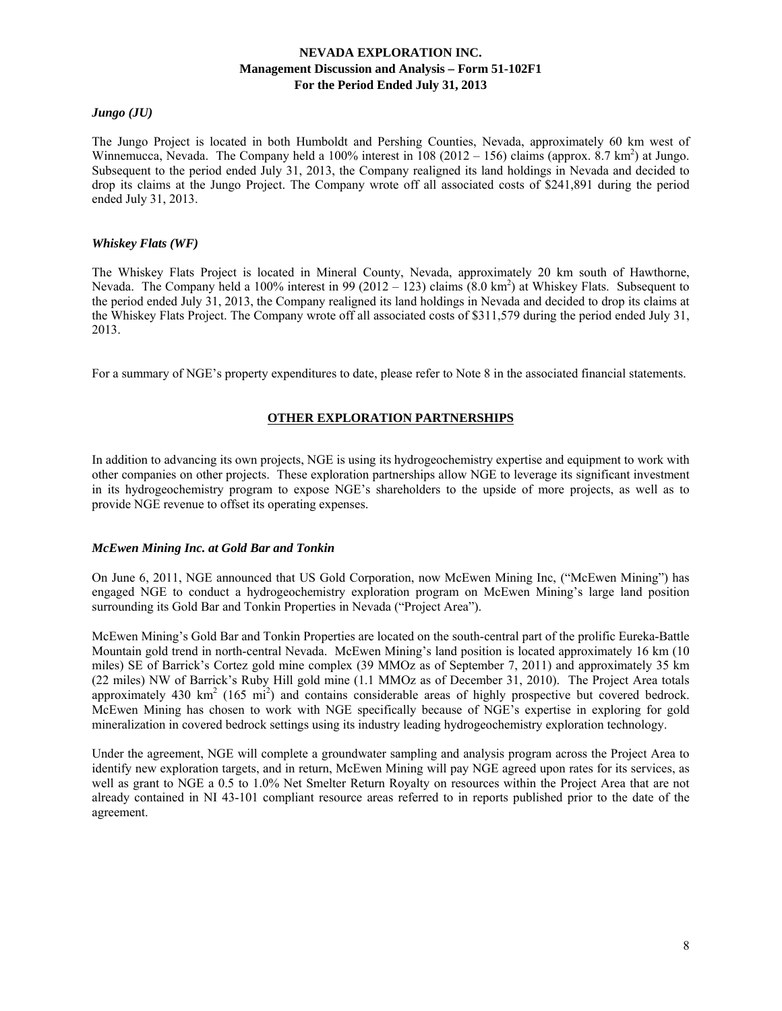### *Jungo (JU)*

The Jungo Project is located in both Humboldt and Pershing Counties, Nevada, approximately 60 km west of Winnemucca, Nevada. The Company held a 100% interest in  $108(2012 - 156)$  claims (approx. 8.7 km<sup>2</sup>) at Jungo. Subsequent to the period ended July 31, 2013, the Company realigned its land holdings in Nevada and decided to drop its claims at the Jungo Project. The Company wrote off all associated costs of \$241,891 during the period ended July 31, 2013.

#### *Whiskey Flats (WF)*

The Whiskey Flats Project is located in Mineral County, Nevada, approximately 20 km south of Hawthorne, Nevada. The Company held a 100% interest in 99 (2012 – 123) claims  $(8.0 \text{ km}^2)$  at Whiskey Flats. Subsequent to the period ended July 31, 2013, the Company realigned its land holdings in Nevada and decided to drop its claims at the Whiskey Flats Project. The Company wrote off all associated costs of \$311,579 during the period ended July 31, 2013.

For a summary of NGE's property expenditures to date, please refer to Note 8 in the associated financial statements.

# **OTHER EXPLORATION PARTNERSHIPS**

In addition to advancing its own projects, NGE is using its hydrogeochemistry expertise and equipment to work with other companies on other projects. These exploration partnerships allow NGE to leverage its significant investment in its hydrogeochemistry program to expose NGE's shareholders to the upside of more projects, as well as to provide NGE revenue to offset its operating expenses.

### *McEwen Mining Inc. at Gold Bar and Tonkin*

On June 6, 2011, NGE announced that US Gold Corporation, now McEwen Mining Inc, ("McEwen Mining") has engaged NGE to conduct a hydrogeochemistry exploration program on McEwen Mining's large land position surrounding its Gold Bar and Tonkin Properties in Nevada ("Project Area").

McEwen Mining's Gold Bar and Tonkin Properties are located on the south-central part of the prolific Eureka-Battle Mountain gold trend in north-central Nevada. McEwen Mining's land position is located approximately 16 km (10 miles) SE of Barrick's Cortez gold mine complex (39 MMOz as of September 7, 2011) and approximately 35 km (22 miles) NW of Barrick's Ruby Hill gold mine (1.1 MMOz as of December 31, 2010). The Project Area totals approximately 430  $\text{km}^2$  (165 mi<sup>2</sup>) and contains considerable areas of highly prospective but covered bedrock. McEwen Mining has chosen to work with NGE specifically because of NGE's expertise in exploring for gold mineralization in covered bedrock settings using its industry leading hydrogeochemistry exploration technology.

Under the agreement, NGE will complete a groundwater sampling and analysis program across the Project Area to identify new exploration targets, and in return, McEwen Mining will pay NGE agreed upon rates for its services, as well as grant to NGE a 0.5 to 1.0% Net Smelter Return Royalty on resources within the Project Area that are not already contained in NI 43-101 compliant resource areas referred to in reports published prior to the date of the agreement.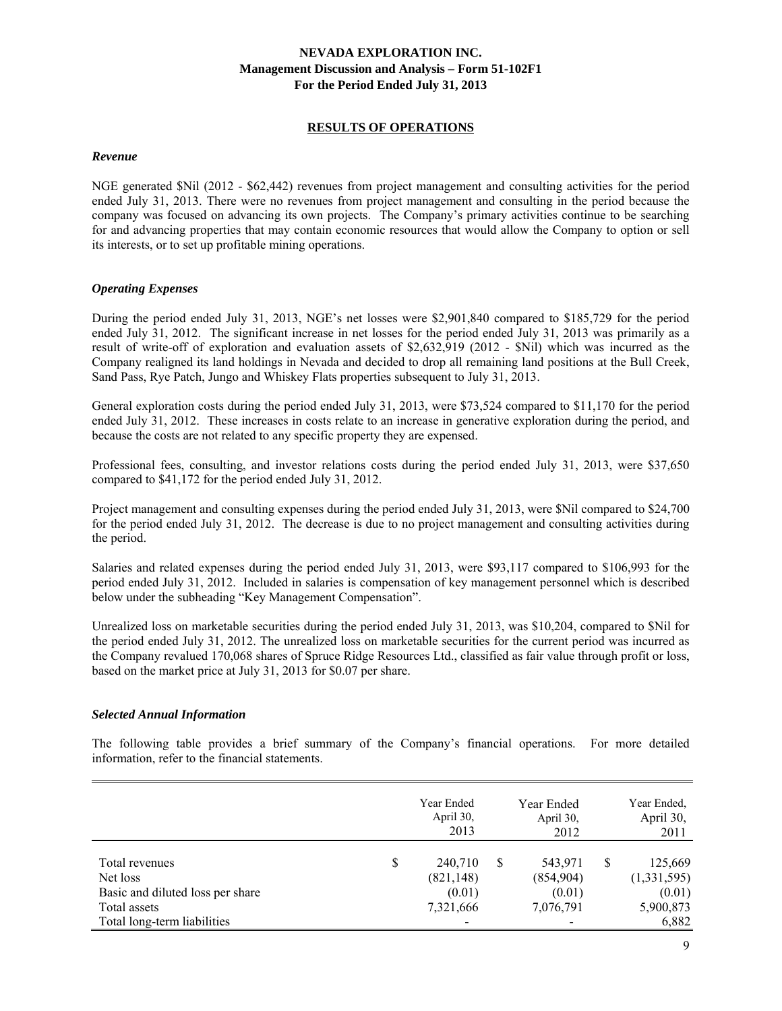### **RESULTS OF OPERATIONS**

#### *Revenue*

NGE generated \$Nil (2012 - \$62,442) revenues from project management and consulting activities for the period ended July 31, 2013. There were no revenues from project management and consulting in the period because the company was focused on advancing its own projects. The Company's primary activities continue to be searching for and advancing properties that may contain economic resources that would allow the Company to option or sell its interests, or to set up profitable mining operations.

### *Operating Expenses*

During the period ended July 31, 2013, NGE's net losses were \$2,901,840 compared to \$185,729 for the period ended July 31, 2012. The significant increase in net losses for the period ended July 31, 2013 was primarily as a result of write-off of exploration and evaluation assets of \$2,632,919 (2012 - \$Nil) which was incurred as the Company realigned its land holdings in Nevada and decided to drop all remaining land positions at the Bull Creek, Sand Pass, Rye Patch, Jungo and Whiskey Flats properties subsequent to July 31, 2013.

General exploration costs during the period ended July 31, 2013, were \$73,524 compared to \$11,170 for the period ended July 31, 2012. These increases in costs relate to an increase in generative exploration during the period, and because the costs are not related to any specific property they are expensed.

Professional fees, consulting, and investor relations costs during the period ended July 31, 2013, were \$37,650 compared to \$41,172 for the period ended July 31, 2012.

Project management and consulting expenses during the period ended July 31, 2013, were \$Nil compared to \$24,700 for the period ended July 31, 2012. The decrease is due to no project management and consulting activities during the period.

Salaries and related expenses during the period ended July 31, 2013, were \$93,117 compared to \$106,993 for the period ended July 31, 2012. Included in salaries is compensation of key management personnel which is described below under the subheading "Key Management Compensation".

Unrealized loss on marketable securities during the period ended July 31, 2013, was \$10,204, compared to \$Nil for the period ended July 31, 2012. The unrealized loss on marketable securities for the current period was incurred as the Company revalued 170,068 shares of Spruce Ridge Resources Ltd., classified as fair value through profit or loss, based on the market price at July 31, 2013 for \$0.07 per share.

#### *Selected Annual Information*

The following table provides a brief summary of the Company's financial operations. For more detailed information, refer to the financial statements.

|                                  | Year Ended<br>April 30,<br>2013 |   | Year Ended<br>April 30,<br>2012 |   | Year Ended,<br>April 30,<br>2011 |
|----------------------------------|---------------------------------|---|---------------------------------|---|----------------------------------|
| Total revenues<br>Net loss       | \$<br>240,710<br>(821, 148)     | S | 543,971<br>(854,904)            | S | 125,669<br>(1,331,595)           |
| Basic and diluted loss per share | (0.01)                          |   | (0.01)                          |   | (0.01)                           |
| Total assets                     | 7,321,666                       |   | 7,076,791                       |   | 5,900,873                        |
| Total long-term liabilities      | -                               |   |                                 |   | 6,882                            |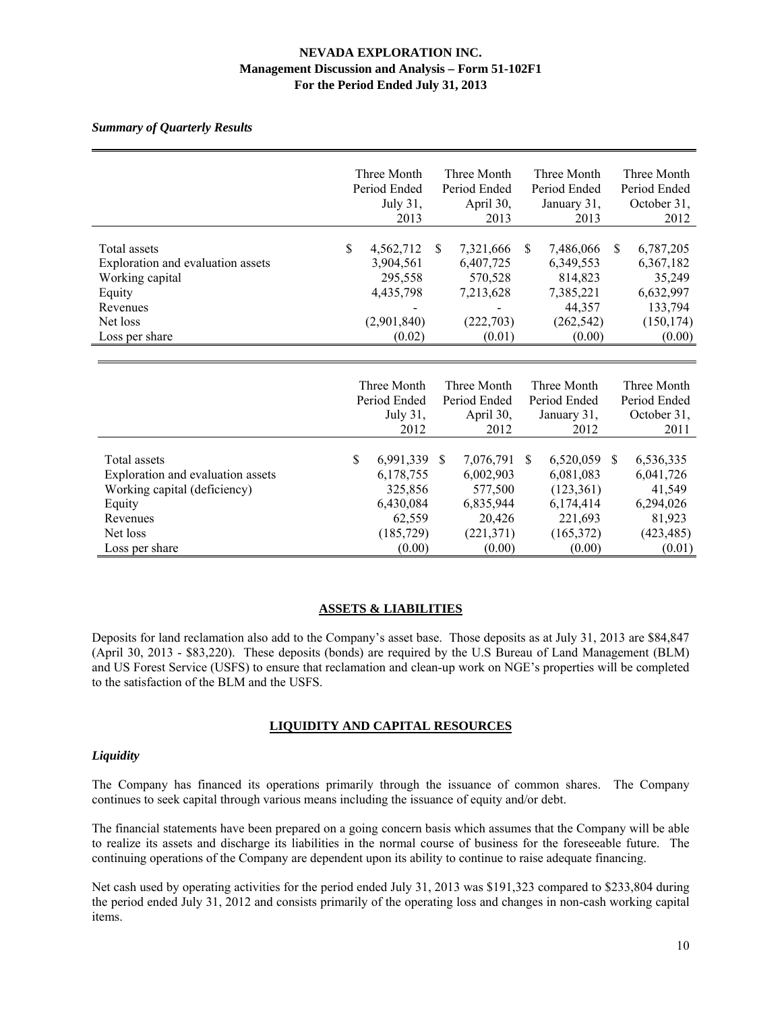### *Summary of Quarterly Results*

|                                                                                                                                       |               | Three Month<br>Period Ended<br>July 31,<br>2013                                  |               | Three Month<br>Period Ended<br>April 30,<br>2013                                 |               | Three Month<br>Period Ended<br>January 31,<br>2013                                   |               | Three Month<br>Period Ended<br>October 31,<br>2012                               |
|---------------------------------------------------------------------------------------------------------------------------------------|---------------|----------------------------------------------------------------------------------|---------------|----------------------------------------------------------------------------------|---------------|--------------------------------------------------------------------------------------|---------------|----------------------------------------------------------------------------------|
| Total assets<br>Exploration and evaluation assets<br>Working capital<br>Equity<br>Revenues<br>Net loss<br>Loss per share              | $\mathsf{\$}$ | 4,562,712<br>3,904,561<br>295,558<br>4,435,798<br>(2,901,840)<br>(0.02)          | <sup>\$</sup> | 7,321,666<br>6,407,725<br>570,528<br>7,213,628<br>(222, 703)<br>(0.01)           | <sup>\$</sup> | 7,486,066<br>6,349,553<br>814,823<br>7,385,221<br>44,357<br>(262, 542)<br>(0.00)     | \$.           | 6,787,205<br>6,367,182<br>35,249<br>6,632,997<br>133,794<br>(150, 174)<br>(0.00) |
|                                                                                                                                       |               | Three Month<br>Period Ended<br>July 31,<br>2012                                  |               | Three Month<br>Period Ended<br>April 30,<br>2012                                 |               | Three Month<br>Period Ended<br>January 31,<br>2012                                   |               | Three Month<br>Period Ended<br>October 31,<br>2011                               |
| Total assets<br>Exploration and evaluation assets<br>Working capital (deficiency)<br>Equity<br>Revenues<br>Net loss<br>Loss per share | \$            | 6,991,339<br>6,178,755<br>325,856<br>6,430,084<br>62,559<br>(185, 729)<br>(0.00) | <sup>\$</sup> | 7,076,791<br>6,002,903<br>577,500<br>6,835,944<br>20,426<br>(221, 371)<br>(0.00) | $\mathbb{S}$  | 6,520,059<br>6,081,083<br>(123, 361)<br>6,174,414<br>221,693<br>(165, 372)<br>(0.00) | <sup>\$</sup> | 6,536,335<br>6,041,726<br>41,549<br>6,294,026<br>81,923<br>(423, 485)<br>(0.01)  |

### **ASSETS & LIABILITIES**

Deposits for land reclamation also add to the Company's asset base. Those deposits as at July 31, 2013 are \$84,847 (April 30, 2013 - \$83,220). These deposits (bonds) are required by the U.S Bureau of Land Management (BLM) and US Forest Service (USFS) to ensure that reclamation and clean-up work on NGE's properties will be completed to the satisfaction of the BLM and the USFS.

### **LIQUIDITY AND CAPITAL RESOURCES**

### *Liquidity*

The Company has financed its operations primarily through the issuance of common shares. The Company continues to seek capital through various means including the issuance of equity and/or debt.

The financial statements have been prepared on a going concern basis which assumes that the Company will be able to realize its assets and discharge its liabilities in the normal course of business for the foreseeable future. The continuing operations of the Company are dependent upon its ability to continue to raise adequate financing.

Net cash used by operating activities for the period ended July 31, 2013 was \$191,323 compared to \$233,804 during the period ended July 31, 2012 and consists primarily of the operating loss and changes in non-cash working capital items.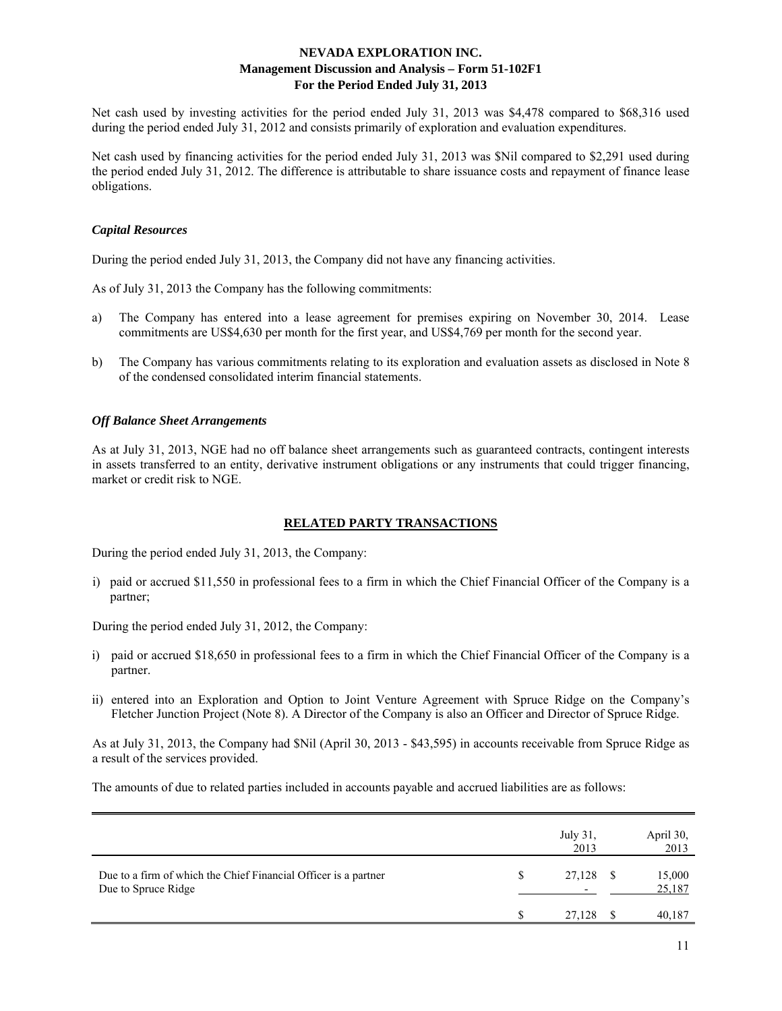Net cash used by investing activities for the period ended July 31, 2013 was \$4,478 compared to \$68,316 used during the period ended July 31, 2012 and consists primarily of exploration and evaluation expenditures.

Net cash used by financing activities for the period ended July 31, 2013 was \$Nil compared to \$2,291 used during the period ended July 31, 2012. The difference is attributable to share issuance costs and repayment of finance lease obligations.

### *Capital Resources*

During the period ended July 31, 2013, the Company did not have any financing activities.

As of July 31, 2013 the Company has the following commitments:

- a) The Company has entered into a lease agreement for premises expiring on November 30, 2014. Lease commitments are US\$4,630 per month for the first year, and US\$4,769 per month for the second year.
- b) The Company has various commitments relating to its exploration and evaluation assets as disclosed in Note 8 of the condensed consolidated interim financial statements.

### *Off Balance Sheet Arrangements*

As at July 31, 2013, NGE had no off balance sheet arrangements such as guaranteed contracts, contingent interests in assets transferred to an entity, derivative instrument obligations or any instruments that could trigger financing, market or credit risk to NGE.

### **RELATED PARTY TRANSACTIONS**

During the period ended July 31, 2013, the Company:

i) paid or accrued \$11,550 in professional fees to a firm in which the Chief Financial Officer of the Company is a partner;

During the period ended July 31, 2012, the Company:

- i) paid or accrued \$18,650 in professional fees to a firm in which the Chief Financial Officer of the Company is a partner.
- ii) entered into an Exploration and Option to Joint Venture Agreement with Spruce Ridge on the Company's Fletcher Junction Project (Note 8). A Director of the Company is also an Officer and Director of Spruce Ridge.

As at July 31, 2013, the Company had \$Nil (April 30, 2013 - \$43,595) in accounts receivable from Spruce Ridge as a result of the services provided.

The amounts of due to related parties included in accounts payable and accrued liabilities are as follows:

|                                                                                        | July 31,<br>2013                   |    | April 30,<br>2013 |
|----------------------------------------------------------------------------------------|------------------------------------|----|-------------------|
| Due to a firm of which the Chief Financial Officer is a partner<br>Due to Spruce Ridge | 27,128<br>$\overline{\phantom{0}}$ | -S | 15,000<br>25,187  |
|                                                                                        | 27,128                             |    | 40.187            |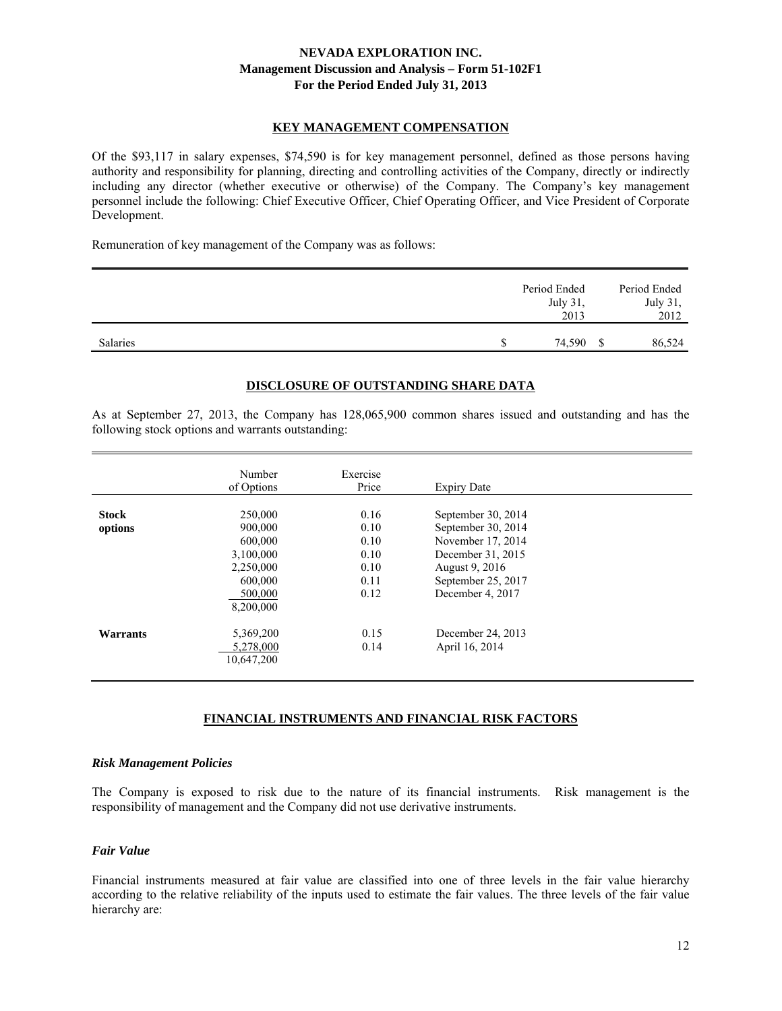# **KEY MANAGEMENT COMPENSATION**

Of the \$93,117 in salary expenses, \$74,590 is for key management personnel, defined as those persons having authority and responsibility for planning, directing and controlling activities of the Company, directly or indirectly including any director (whether executive or otherwise) of the Company. The Company's key management personnel include the following: Chief Executive Officer, Chief Operating Officer, and Vice President of Corporate Development.

Remuneration of key management of the Company was as follows:

|          | Period Ended<br>July 31,<br>2013 | Period Ended<br>July 31,<br>2012 |
|----------|----------------------------------|----------------------------------|
| Salaries | 74,590                           | 86.524                           |

### **DISCLOSURE OF OUTSTANDING SHARE DATA**

As at September 27, 2013, the Company has 128,065,900 common shares issued and outstanding and has the following stock options and warrants outstanding:

|              | Number<br>of Options | Exercise<br>Price | <b>Expiry Date</b> |  |
|--------------|----------------------|-------------------|--------------------|--|
|              |                      |                   |                    |  |
| <b>Stock</b> | 250,000              | 0.16              | September 30, 2014 |  |
| options      | 900.000              | 0.10              | September 30, 2014 |  |
|              | 600,000              | 0.10              | November 17, 2014  |  |
|              | 3,100,000            | 0.10              | December 31, 2015  |  |
|              | 2,250,000            | 0.10              | August 9, 2016     |  |
|              | 600.000              | 0.11              | September 25, 2017 |  |
|              | 500,000              | 0.12              | December 4, 2017   |  |
|              | 8,200,000            |                   |                    |  |
|              |                      |                   |                    |  |
| Warrants     | 5,369,200            | 0.15              | December 24, 2013  |  |
|              | 5,278,000            | 0.14              | April 16, 2014     |  |
|              | 10,647,200           |                   |                    |  |
|              |                      |                   |                    |  |

### **FINANCIAL INSTRUMENTS AND FINANCIAL RISK FACTORS**

#### *Risk Management Policies*

The Company is exposed to risk due to the nature of its financial instruments. Risk management is the responsibility of management and the Company did not use derivative instruments.

## *Fair Value*

Financial instruments measured at fair value are classified into one of three levels in the fair value hierarchy according to the relative reliability of the inputs used to estimate the fair values. The three levels of the fair value hierarchy are: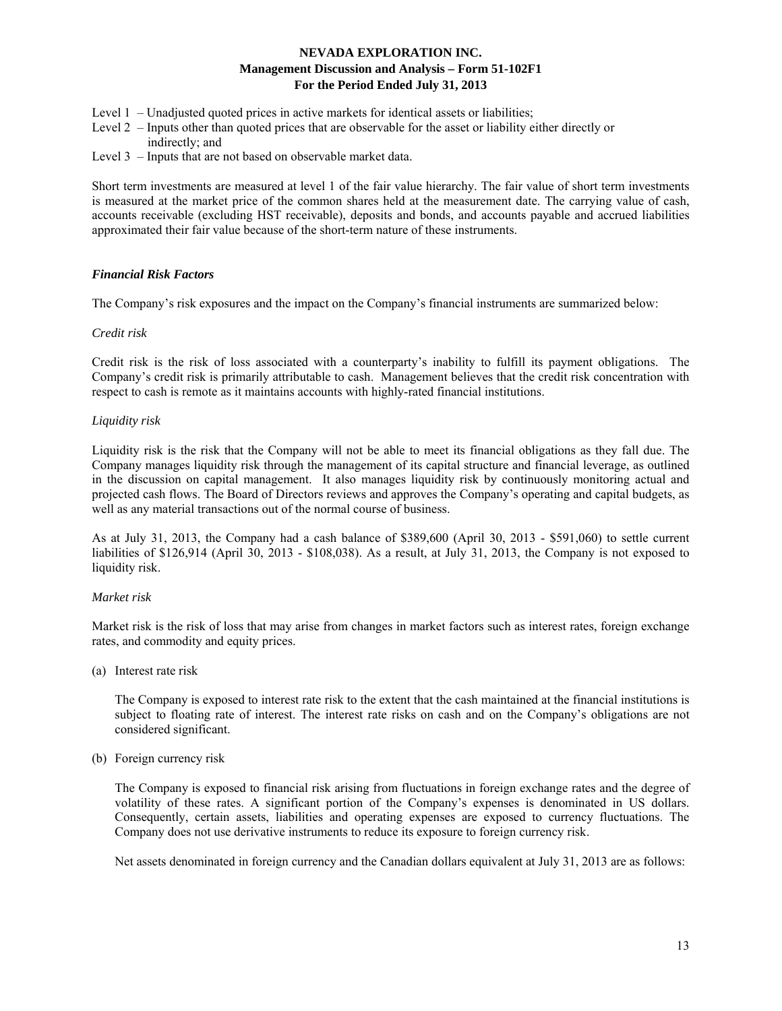- Level 1 Unadjusted quoted prices in active markets for identical assets or liabilities;
- Level 2 Inputs other than quoted prices that are observable for the asset or liability either directly or indirectly; and
- Level 3 Inputs that are not based on observable market data.

Short term investments are measured at level 1 of the fair value hierarchy. The fair value of short term investments is measured at the market price of the common shares held at the measurement date. The carrying value of cash, accounts receivable (excluding HST receivable), deposits and bonds, and accounts payable and accrued liabilities approximated their fair value because of the short-term nature of these instruments.

### *Financial Risk Factors*

The Company's risk exposures and the impact on the Company's financial instruments are summarized below:

### *Credit risk*

Credit risk is the risk of loss associated with a counterparty's inability to fulfill its payment obligations. The Company's credit risk is primarily attributable to cash. Management believes that the credit risk concentration with respect to cash is remote as it maintains accounts with highly-rated financial institutions.

### *Liquidity risk*

Liquidity risk is the risk that the Company will not be able to meet its financial obligations as they fall due. The Company manages liquidity risk through the management of its capital structure and financial leverage, as outlined in the discussion on capital management. It also manages liquidity risk by continuously monitoring actual and projected cash flows. The Board of Directors reviews and approves the Company's operating and capital budgets, as well as any material transactions out of the normal course of business.

As at July 31, 2013, the Company had a cash balance of \$389,600 (April 30, 2013 - \$591,060) to settle current liabilities of \$126,914 (April 30, 2013 - \$108,038). As a result, at July 31, 2013, the Company is not exposed to liquidity risk.

### *Market risk*

Market risk is the risk of loss that may arise from changes in market factors such as interest rates, foreign exchange rates, and commodity and equity prices.

(a) Interest rate risk

 The Company is exposed to interest rate risk to the extent that the cash maintained at the financial institutions is subject to floating rate of interest. The interest rate risks on cash and on the Company's obligations are not considered significant.

(b) Foreign currency risk

 The Company is exposed to financial risk arising from fluctuations in foreign exchange rates and the degree of volatility of these rates. A significant portion of the Company's expenses is denominated in US dollars. Consequently, certain assets, liabilities and operating expenses are exposed to currency fluctuations. The Company does not use derivative instruments to reduce its exposure to foreign currency risk.

Net assets denominated in foreign currency and the Canadian dollars equivalent at July 31, 2013 are as follows: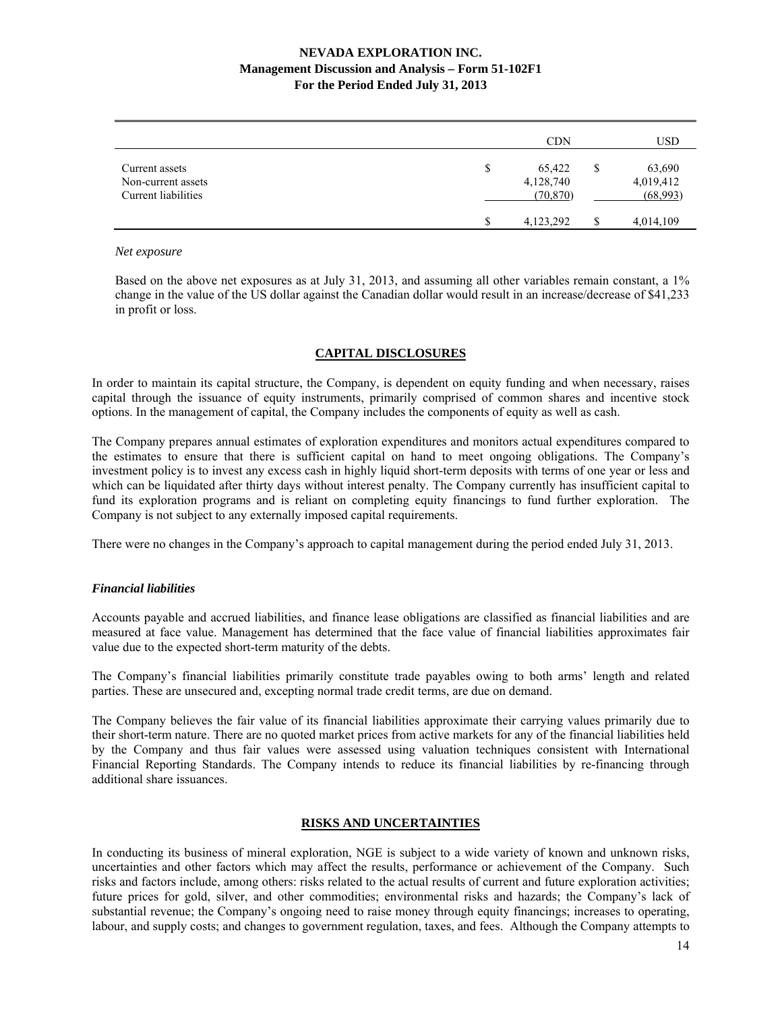|                                                             |   | CDN                              | USD                                   |
|-------------------------------------------------------------|---|----------------------------------|---------------------------------------|
| Current assets<br>Non-current assets<br>Current liabilities | S | 65,422<br>4,128,740<br>(70, 870) | \$<br>63,690<br>4,019,412<br>(68,993) |
|                                                             |   | 4, 123, 292                      | 4,014,109                             |

#### *Net exposure*

Based on the above net exposures as at July 31, 2013, and assuming all other variables remain constant, a 1% change in the value of the US dollar against the Canadian dollar would result in an increase/decrease of \$41,233 in profit or loss.

### **CAPITAL DISCLOSURES**

In order to maintain its capital structure, the Company, is dependent on equity funding and when necessary, raises capital through the issuance of equity instruments, primarily comprised of common shares and incentive stock options. In the management of capital, the Company includes the components of equity as well as cash.

The Company prepares annual estimates of exploration expenditures and monitors actual expenditures compared to the estimates to ensure that there is sufficient capital on hand to meet ongoing obligations. The Company's investment policy is to invest any excess cash in highly liquid short-term deposits with terms of one year or less and which can be liquidated after thirty days without interest penalty. The Company currently has insufficient capital to fund its exploration programs and is reliant on completing equity financings to fund further exploration. The Company is not subject to any externally imposed capital requirements.

There were no changes in the Company's approach to capital management during the period ended July 31, 2013.

#### *Financial liabilities*

Accounts payable and accrued liabilities, and finance lease obligations are classified as financial liabilities and are measured at face value. Management has determined that the face value of financial liabilities approximates fair value due to the expected short-term maturity of the debts.

The Company's financial liabilities primarily constitute trade payables owing to both arms' length and related parties. These are unsecured and, excepting normal trade credit terms, are due on demand.

The Company believes the fair value of its financial liabilities approximate their carrying values primarily due to their short-term nature. There are no quoted market prices from active markets for any of the financial liabilities held by the Company and thus fair values were assessed using valuation techniques consistent with International Financial Reporting Standards. The Company intends to reduce its financial liabilities by re-financing through additional share issuances.

# **RISKS AND UNCERTAINTIES**

In conducting its business of mineral exploration, NGE is subject to a wide variety of known and unknown risks, uncertainties and other factors which may affect the results, performance or achievement of the Company. Such risks and factors include, among others: risks related to the actual results of current and future exploration activities; future prices for gold, silver, and other commodities; environmental risks and hazards; the Company's lack of substantial revenue; the Company's ongoing need to raise money through equity financings; increases to operating, labour, and supply costs; and changes to government regulation, taxes, and fees. Although the Company attempts to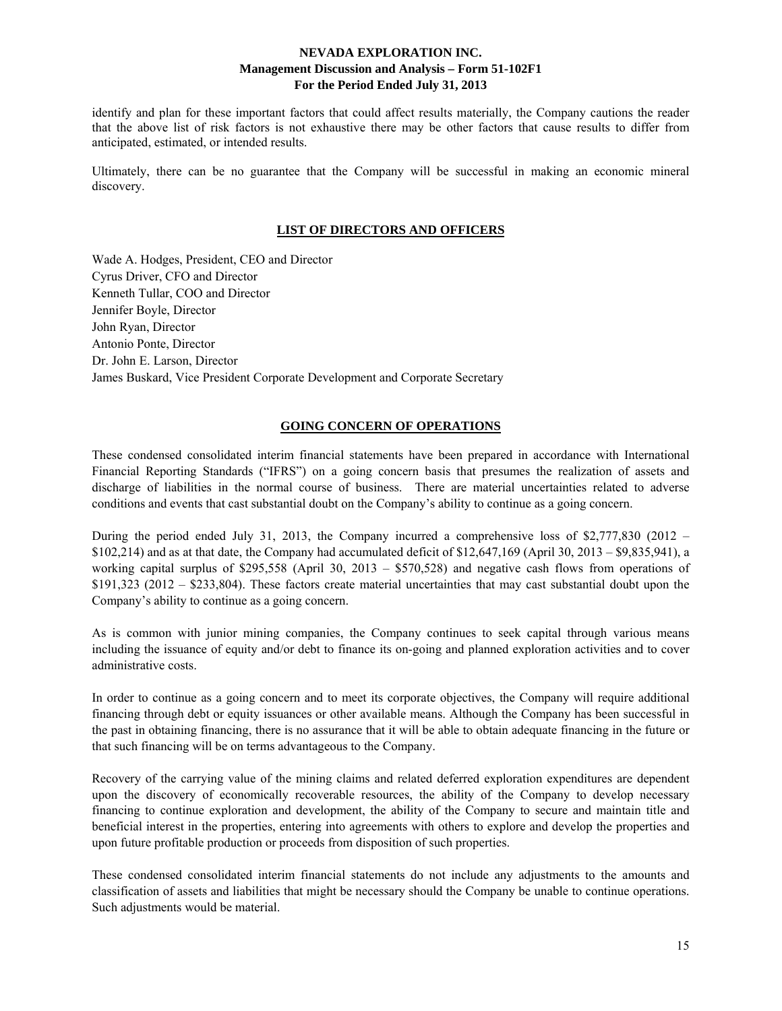identify and plan for these important factors that could affect results materially, the Company cautions the reader that the above list of risk factors is not exhaustive there may be other factors that cause results to differ from anticipated, estimated, or intended results.

Ultimately, there can be no guarantee that the Company will be successful in making an economic mineral discovery.

### **LIST OF DIRECTORS AND OFFICERS**

Wade A. Hodges, President, CEO and Director Cyrus Driver, CFO and Director Kenneth Tullar, COO and Director Jennifer Boyle, Director John Ryan, Director Antonio Ponte, Director Dr. John E. Larson, Director James Buskard, Vice President Corporate Development and Corporate Secretary

### **GOING CONCERN OF OPERATIONS**

These condensed consolidated interim financial statements have been prepared in accordance with International Financial Reporting Standards ("IFRS") on a going concern basis that presumes the realization of assets and discharge of liabilities in the normal course of business. There are material uncertainties related to adverse conditions and events that cast substantial doubt on the Company's ability to continue as a going concern.

During the period ended July 31, 2013, the Company incurred a comprehensive loss of \$2,777,830 (2012 – \$102,214) and as at that date, the Company had accumulated deficit of \$12,647,169 (April 30, 2013 – \$9,835,941), a working capital surplus of \$295,558 (April 30, 2013 – \$570,528) and negative cash flows from operations of \$191,323 (2012 – \$233,804). These factors create material uncertainties that may cast substantial doubt upon the Company's ability to continue as a going concern.

As is common with junior mining companies, the Company continues to seek capital through various means including the issuance of equity and/or debt to finance its on-going and planned exploration activities and to cover administrative costs.

In order to continue as a going concern and to meet its corporate objectives, the Company will require additional financing through debt or equity issuances or other available means. Although the Company has been successful in the past in obtaining financing, there is no assurance that it will be able to obtain adequate financing in the future or that such financing will be on terms advantageous to the Company.

Recovery of the carrying value of the mining claims and related deferred exploration expenditures are dependent upon the discovery of economically recoverable resources, the ability of the Company to develop necessary financing to continue exploration and development, the ability of the Company to secure and maintain title and beneficial interest in the properties, entering into agreements with others to explore and develop the properties and upon future profitable production or proceeds from disposition of such properties.

These condensed consolidated interim financial statements do not include any adjustments to the amounts and classification of assets and liabilities that might be necessary should the Company be unable to continue operations. Such adjustments would be material.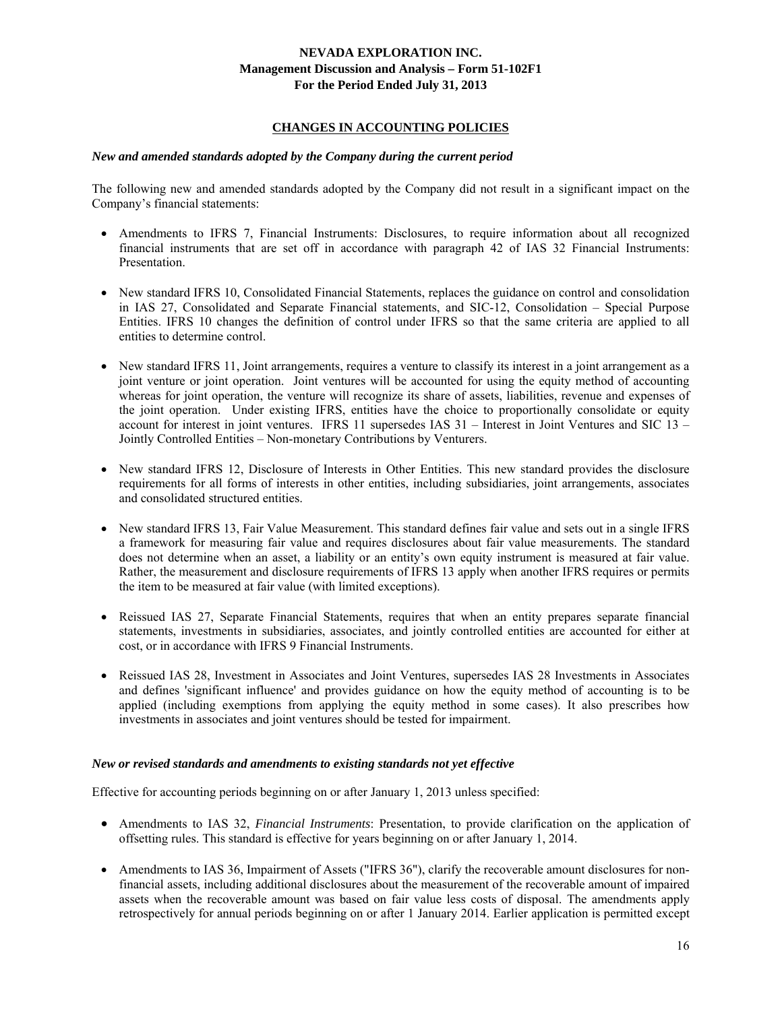### **CHANGES IN ACCOUNTING POLICIES**

#### *New and amended standards adopted by the Company during the current period*

The following new and amended standards adopted by the Company did not result in a significant impact on the Company's financial statements:

- Amendments to IFRS 7, Financial Instruments: Disclosures, to require information about all recognized financial instruments that are set off in accordance with paragraph 42 of IAS 32 Financial Instruments: Presentation.
- New standard IFRS 10, Consolidated Financial Statements, replaces the guidance on control and consolidation in IAS 27, Consolidated and Separate Financial statements, and SIC-12, Consolidation – Special Purpose Entities. IFRS 10 changes the definition of control under IFRS so that the same criteria are applied to all entities to determine control.
- New standard IFRS 11, Joint arrangements, requires a venture to classify its interest in a joint arrangement as a joint venture or joint operation. Joint ventures will be accounted for using the equity method of accounting whereas for joint operation, the venture will recognize its share of assets, liabilities, revenue and expenses of the joint operation. Under existing IFRS, entities have the choice to proportionally consolidate or equity account for interest in joint ventures. IFRS 11 supersedes IAS 31 – Interest in Joint Ventures and SIC 13 – Jointly Controlled Entities – Non-monetary Contributions by Venturers.
- New standard IFRS 12, Disclosure of Interests in Other Entities. This new standard provides the disclosure requirements for all forms of interests in other entities, including subsidiaries, joint arrangements, associates and consolidated structured entities.
- New standard IFRS 13, Fair Value Measurement. This standard defines fair value and sets out in a single IFRS a framework for measuring fair value and requires disclosures about fair value measurements. The standard does not determine when an asset, a liability or an entity's own equity instrument is measured at fair value. Rather, the measurement and disclosure requirements of IFRS 13 apply when another IFRS requires or permits the item to be measured at fair value (with limited exceptions).
- Reissued IAS 27, Separate Financial Statements, requires that when an entity prepares separate financial statements, investments in subsidiaries, associates, and jointly controlled entities are accounted for either at cost, or in accordance with IFRS 9 Financial Instruments.
- Reissued IAS 28, Investment in Associates and Joint Ventures, supersedes IAS 28 Investments in Associates and defines 'significant influence' and provides guidance on how the equity method of accounting is to be applied (including exemptions from applying the equity method in some cases). It also prescribes how investments in associates and joint ventures should be tested for impairment.

#### *New or revised standards and amendments to existing standards not yet effective*

Effective for accounting periods beginning on or after January 1, 2013 unless specified:

- Amendments to IAS 32, *Financial Instruments*: Presentation, to provide clarification on the application of offsetting rules. This standard is effective for years beginning on or after January 1, 2014.
- Amendments to IAS 36, Impairment of Assets ("IFRS 36"), clarify the recoverable amount disclosures for nonfinancial assets, including additional disclosures about the measurement of the recoverable amount of impaired assets when the recoverable amount was based on fair value less costs of disposal. The amendments apply retrospectively for annual periods beginning on or after 1 January 2014. Earlier application is permitted except